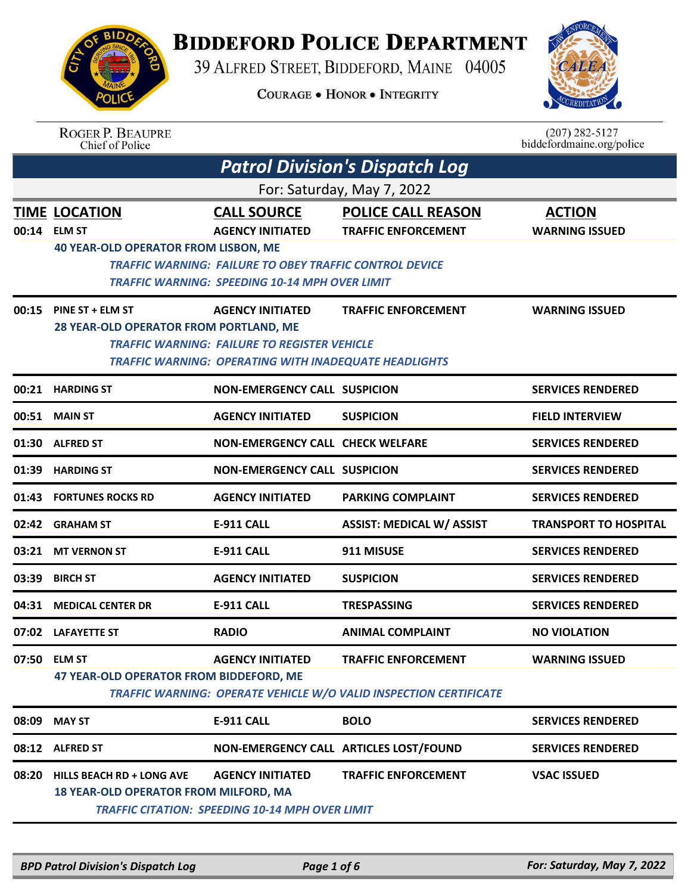## **BIDDEFORD POLICE DEPARTMENT**

39 ALFRED STREET, BIDDEFORD, MAINE 04005

**COURAGE . HONOR . INTEGRITY** 



| <b>ROGER P. BEAUPRE</b> |
|-------------------------|
| Chief of Police         |

 $(207)$  282-5127<br>biddefordmaine.org/police

|                            |                                                                                      |                                                                                                                                                                          | Patrol Division's Dispatch Log                                                                  |                                        |  |  |
|----------------------------|--------------------------------------------------------------------------------------|--------------------------------------------------------------------------------------------------------------------------------------------------------------------------|-------------------------------------------------------------------------------------------------|----------------------------------------|--|--|
| For: Saturday, May 7, 2022 |                                                                                      |                                                                                                                                                                          |                                                                                                 |                                        |  |  |
| 00:14                      | <b>TIME LOCATION</b><br><b>ELM ST</b><br><b>40 YEAR-OLD OPERATOR FROM LISBON, ME</b> | <b>CALL SOURCE</b><br><b>AGENCY INITIATED</b><br><b>TRAFFIC WARNING: FAILURE TO OBEY TRAFFIC CONTROL DEVICE</b><br><b>TRAFFIC WARNING: SPEEDING 10-14 MPH OVER LIMIT</b> | <b>POLICE CALL REASON</b><br><b>TRAFFIC ENFORCEMENT</b>                                         | <b>ACTION</b><br><b>WARNING ISSUED</b> |  |  |
| 00:15                      | PINE ST + ELM ST<br>28 YEAR-OLD OPERATOR FROM PORTLAND, ME                           | <b>AGENCY INITIATED</b><br><b>TRAFFIC WARNING: FAILURE TO REGISTER VEHICLE</b><br><b>TRAFFIC WARNING: OPERATING WITH INADEQUATE HEADLIGHTS</b>                           | <b>TRAFFIC ENFORCEMENT</b>                                                                      | <b>WARNING ISSUED</b>                  |  |  |
|                            | 00:21 HARDING ST                                                                     | <b>NON-EMERGENCY CALL SUSPICION</b>                                                                                                                                      |                                                                                                 | <b>SERVICES RENDERED</b>               |  |  |
|                            | 00:51 MAIN ST                                                                        | <b>AGENCY INITIATED</b>                                                                                                                                                  | <b>SUSPICION</b>                                                                                | <b>FIELD INTERVIEW</b>                 |  |  |
|                            | 01:30 ALFRED ST                                                                      | <b>NON-EMERGENCY CALL CHECK WELFARE</b>                                                                                                                                  |                                                                                                 | <b>SERVICES RENDERED</b>               |  |  |
| 01:39                      | <b>HARDING ST</b>                                                                    | <b>NON-EMERGENCY CALL SUSPICION</b>                                                                                                                                      |                                                                                                 | <b>SERVICES RENDERED</b>               |  |  |
|                            | 01:43 FORTUNES ROCKS RD                                                              | <b>AGENCY INITIATED</b>                                                                                                                                                  | <b>PARKING COMPLAINT</b>                                                                        | <b>SERVICES RENDERED</b>               |  |  |
|                            | 02:42 GRAHAM ST                                                                      | <b>E-911 CALL</b>                                                                                                                                                        | <b>ASSIST: MEDICAL W/ ASSIST</b>                                                                | <b>TRANSPORT TO HOSPITAL</b>           |  |  |
|                            | 03:21 MT VERNON ST                                                                   | <b>E-911 CALL</b>                                                                                                                                                        | 911 MISUSE                                                                                      | <b>SERVICES RENDERED</b>               |  |  |
| 03:39                      | <b>BIRCH ST</b>                                                                      | <b>AGENCY INITIATED</b>                                                                                                                                                  | <b>SUSPICION</b>                                                                                | <b>SERVICES RENDERED</b>               |  |  |
| 04:31                      | <b>MEDICAL CENTER DR</b>                                                             | <b>E-911 CALL</b>                                                                                                                                                        | <b>TRESPASSING</b>                                                                              | <b>SERVICES RENDERED</b>               |  |  |
| 07:02                      | <b>LAFAYETTE ST</b>                                                                  | <b>RADIO</b>                                                                                                                                                             | <b>ANIMAL COMPLAINT</b>                                                                         | <b>NO VIOLATION</b>                    |  |  |
|                            | 07:50 ELM ST<br>47 YEAR-OLD OPERATOR FROM BIDDEFORD, ME                              | <b>AGENCY INITIATED</b>                                                                                                                                                  | <b>TRAFFIC ENFORCEMENT</b><br>TRAFFIC WARNING: OPERATE VEHICLE W/O VALID INSPECTION CERTIFICATE | <b>WARNING ISSUED</b>                  |  |  |
| 08:09                      | <b>MAY ST</b>                                                                        | <b>E-911 CALL</b>                                                                                                                                                        | <b>BOLO</b>                                                                                     | <b>SERVICES RENDERED</b>               |  |  |
|                            | 08:12 ALFRED ST                                                                      |                                                                                                                                                                          | NON-EMERGENCY CALL ARTICLES LOST/FOUND                                                          | <b>SERVICES RENDERED</b>               |  |  |
| 08:20                      | <b>HILLS BEACH RD + LONG AVE</b><br>18 YEAR-OLD OPERATOR FROM MILFORD, MA            | <b>AGENCY INITIATED</b><br><b>TRAFFIC CITATION: SPEEDING 10-14 MPH OVER LIMIT</b>                                                                                        | <b>TRAFFIC ENFORCEMENT</b>                                                                      | <b>VSAC ISSUED</b>                     |  |  |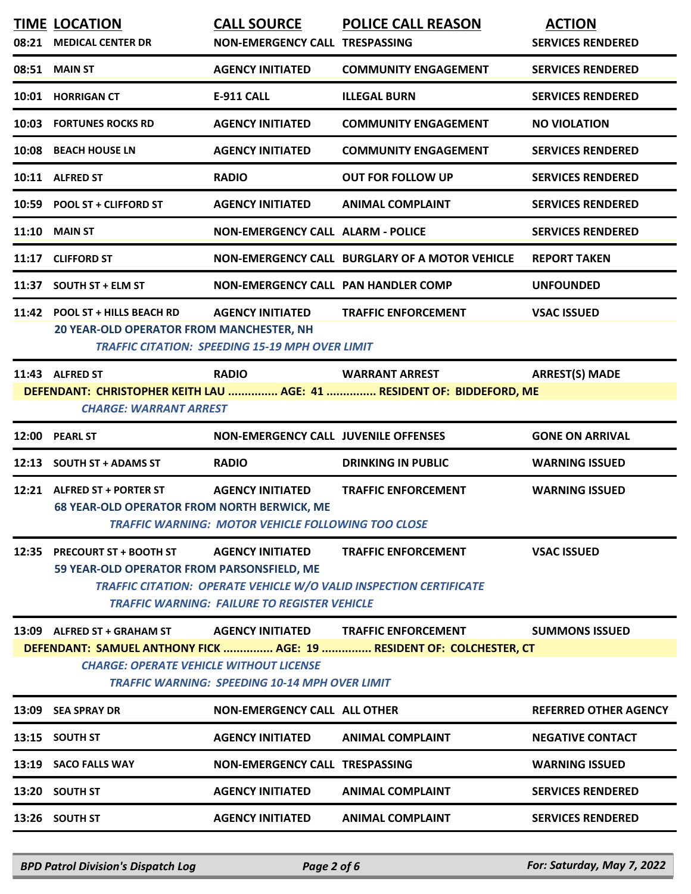|       | <b>TIME LOCATION</b>                                                                                    | <b>CALL SOURCE</b>                                     | <b>POLICE CALL REASON</b>                                             | <b>ACTION</b>                |  |
|-------|---------------------------------------------------------------------------------------------------------|--------------------------------------------------------|-----------------------------------------------------------------------|------------------------------|--|
| 08:21 | <b>MEDICAL CENTER DR</b>                                                                                | <b>NON-EMERGENCY CALL TRESPASSING</b>                  |                                                                       | <b>SERVICES RENDERED</b>     |  |
|       | 08:51 MAIN ST                                                                                           | <b>AGENCY INITIATED</b>                                | <b>COMMUNITY ENGAGEMENT</b>                                           | <b>SERVICES RENDERED</b>     |  |
|       | 10:01 HORRIGAN CT                                                                                       | <b>E-911 CALL</b>                                      | <b>ILLEGAL BURN</b>                                                   | <b>SERVICES RENDERED</b>     |  |
|       | 10:03 FORTUNES ROCKS RD                                                                                 | <b>AGENCY INITIATED</b>                                | <b>COMMUNITY ENGAGEMENT</b>                                           | <b>NO VIOLATION</b>          |  |
| 10:08 | <b>BEACH HOUSE LN</b>                                                                                   | <b>AGENCY INITIATED</b>                                | <b>COMMUNITY ENGAGEMENT</b>                                           | <b>SERVICES RENDERED</b>     |  |
|       | 10:11 ALFRED ST                                                                                         | <b>RADIO</b>                                           | <b>OUT FOR FOLLOW UP</b>                                              | <b>SERVICES RENDERED</b>     |  |
|       | 10:59 POOL ST + CLIFFORD ST                                                                             | <b>AGENCY INITIATED</b>                                | <b>ANIMAL COMPLAINT</b>                                               | <b>SERVICES RENDERED</b>     |  |
| 11:10 | <b>MAIN ST</b>                                                                                          | <b>NON-EMERGENCY CALL ALARM - POLICE</b>               |                                                                       | <b>SERVICES RENDERED</b>     |  |
| 11:17 | <b>CLIFFORD ST</b>                                                                                      |                                                        | NON-EMERGENCY CALL BURGLARY OF A MOTOR VEHICLE                        | <b>REPORT TAKEN</b>          |  |
| 11:37 | <b>SOUTH ST + ELM ST</b>                                                                                | <b>NON-EMERGENCY CALL PAN HANDLER COMP</b>             |                                                                       | <b>UNFOUNDED</b>             |  |
|       | 11:42 POOL ST + HILLS BEACH RD<br><b>20 YEAR-OLD OPERATOR FROM MANCHESTER, NH</b>                       | <b>AGENCY INITIATED</b>                                | <b>TRAFFIC ENFORCEMENT</b>                                            | <b>VSAC ISSUED</b>           |  |
|       |                                                                                                         | <b>TRAFFIC CITATION: SPEEDING 15-19 MPH OVER LIMIT</b> |                                                                       |                              |  |
|       | 11:43 ALFRED ST                                                                                         | <b>RADIO</b>                                           | <b>WARRANT ARREST</b>                                                 | <b>ARREST(S) MADE</b>        |  |
|       | <b>CHARGE: WARRANT ARREST</b>                                                                           |                                                        | DEFENDANT: CHRISTOPHER KEITH LAU  AGE: 41  RESIDENT OF: BIDDEFORD, ME |                              |  |
|       | 12:00 PEARL ST                                                                                          | <b>NON-EMERGENCY CALL JUVENILE OFFENSES</b>            |                                                                       | <b>GONE ON ARRIVAL</b>       |  |
| 12:13 | <b>SOUTH ST + ADAMS ST</b>                                                                              | <b>RADIO</b>                                           | <b>DRINKING IN PUBLIC</b>                                             | <b>WARNING ISSUED</b>        |  |
|       | 12:21 ALFRED ST + PORTER ST                                                                             | <b>AGENCY INITIATED</b>                                | <b>TRAFFIC ENFORCEMENT</b>                                            | <b>WARNING ISSUED</b>        |  |
|       | <b>68 YEAR-OLD OPERATOR FROM NORTH BERWICK, ME</b>                                                      | TRAFFIC WARNING: MOTOR VEHICLE FOLLOWING TOO CLOSE     |                                                                       |                              |  |
|       | 12:35 PRECOURT ST + BOOTH ST                                                                            | <b>AGENCY INITIATED</b>                                | <b>TRAFFIC ENFORCEMENT</b>                                            | <b>VSAC ISSUED</b>           |  |
|       | 59 YEAR-OLD OPERATOR FROM PARSONSFIELD, ME                                                              |                                                        |                                                                       |                              |  |
|       |                                                                                                         | <b>TRAFFIC WARNING: FAILURE TO REGISTER VEHICLE</b>    | TRAFFIC CITATION: OPERATE VEHICLE W/O VALID INSPECTION CERTIFICATE    |                              |  |
|       | 13:09 ALFRED ST + GRAHAM ST                                                                             | <b>AGENCY INITIATED</b>                                | <b>TRAFFIC ENFORCEMENT</b>                                            | <b>SUMMONS ISSUED</b>        |  |
|       |                                                                                                         |                                                        | DEFENDANT: SAMUEL ANTHONY FICK  AGE: 19  RESIDENT OF: COLCHESTER, CT  |                              |  |
|       | <b>CHARGE: OPERATE VEHICLE WITHOUT LICENSE</b><br><b>TRAFFIC WARNING: SPEEDING 10-14 MPH OVER LIMIT</b> |                                                        |                                                                       |                              |  |
|       | 13:09 SEA SPRAY DR                                                                                      | <b>NON-EMERGENCY CALL ALL OTHER</b>                    |                                                                       | <b>REFERRED OTHER AGENCY</b> |  |
|       | 13:15 SOUTH ST                                                                                          | <b>AGENCY INITIATED</b>                                | <b>ANIMAL COMPLAINT</b>                                               | <b>NEGATIVE CONTACT</b>      |  |
|       | 13:19 SACO FALLS WAY                                                                                    | <b>NON-EMERGENCY CALL TRESPASSING</b>                  |                                                                       | <b>WARNING ISSUED</b>        |  |
|       | 13:20 SOUTH ST                                                                                          | <b>AGENCY INITIATED</b>                                | <b>ANIMAL COMPLAINT</b>                                               | <b>SERVICES RENDERED</b>     |  |
|       | 13:26 SOUTH ST                                                                                          | <b>AGENCY INITIATED</b>                                | <b>ANIMAL COMPLAINT</b>                                               | <b>SERVICES RENDERED</b>     |  |
|       |                                                                                                         |                                                        |                                                                       |                              |  |

*BPD Patrol Division's Dispatch Log Page 2 of 6 For: Saturday, May 7, 2022*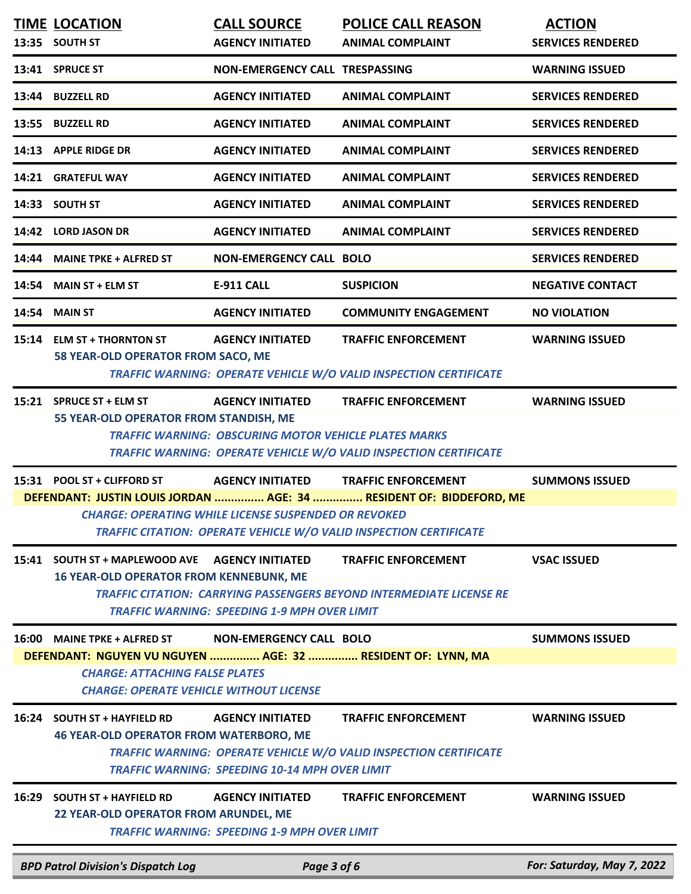|       | <b>TIME LOCATION</b>                                                                                                                                   | <b>CALL SOURCE</b>                                                                      | <b>POLICE CALL REASON</b>                                                                                 | <b>ACTION</b>              |
|-------|--------------------------------------------------------------------------------------------------------------------------------------------------------|-----------------------------------------------------------------------------------------|-----------------------------------------------------------------------------------------------------------|----------------------------|
|       | 13:35 SOUTH ST                                                                                                                                         | <b>AGENCY INITIATED</b>                                                                 | <b>ANIMAL COMPLAINT</b>                                                                                   | <b>SERVICES RENDERED</b>   |
|       | 13:41 SPRUCE ST                                                                                                                                        | NON-EMERGENCY CALL TRESPASSING                                                          |                                                                                                           | <b>WARNING ISSUED</b>      |
|       | 13:44 BUZZELL RD                                                                                                                                       | <b>AGENCY INITIATED</b>                                                                 | <b>ANIMAL COMPLAINT</b>                                                                                   | <b>SERVICES RENDERED</b>   |
| 13:55 | <b>BUZZELL RD</b>                                                                                                                                      | <b>AGENCY INITIATED</b>                                                                 | <b>ANIMAL COMPLAINT</b>                                                                                   | <b>SERVICES RENDERED</b>   |
|       | 14:13 APPLE RIDGE DR                                                                                                                                   | <b>AGENCY INITIATED</b>                                                                 | <b>ANIMAL COMPLAINT</b>                                                                                   | <b>SERVICES RENDERED</b>   |
|       | 14:21 GRATEFUL WAY                                                                                                                                     | <b>AGENCY INITIATED</b>                                                                 | <b>ANIMAL COMPLAINT</b>                                                                                   | <b>SERVICES RENDERED</b>   |
|       | 14:33 SOUTH ST                                                                                                                                         | <b>AGENCY INITIATED</b>                                                                 | <b>ANIMAL COMPLAINT</b>                                                                                   | <b>SERVICES RENDERED</b>   |
|       | 14:42 LORD JASON DR                                                                                                                                    | <b>AGENCY INITIATED</b>                                                                 | <b>ANIMAL COMPLAINT</b>                                                                                   | <b>SERVICES RENDERED</b>   |
| 14:44 | <b>MAINE TPKE + ALFRED ST</b>                                                                                                                          | <b>NON-EMERGENCY CALL BOLO</b>                                                          |                                                                                                           | <b>SERVICES RENDERED</b>   |
| 14:54 | <b>MAIN ST + ELM ST</b>                                                                                                                                | <b>E-911 CALL</b>                                                                       | <b>SUSPICION</b>                                                                                          | <b>NEGATIVE CONTACT</b>    |
| 14:54 | <b>MAIN ST</b>                                                                                                                                         | <b>AGENCY INITIATED</b>                                                                 | <b>COMMUNITY ENGAGEMENT</b>                                                                               | <b>NO VIOLATION</b>        |
|       | 15:14 ELM ST + THORNTON ST<br>58 YEAR-OLD OPERATOR FROM SACO, ME                                                                                       | <b>AGENCY INITIATED</b>                                                                 | <b>TRAFFIC ENFORCEMENT</b>                                                                                | <b>WARNING ISSUED</b>      |
|       |                                                                                                                                                        |                                                                                         | TRAFFIC WARNING: OPERATE VEHICLE W/O VALID INSPECTION CERTIFICATE                                         |                            |
| 15:21 | <b>SPRUCE ST + ELM ST</b><br>55 YEAR-OLD OPERATOR FROM STANDISH, ME                                                                                    | <b>AGENCY INITIATED</b><br><b>TRAFFIC WARNING: OBSCURING MOTOR VEHICLE PLATES MARKS</b> | <b>TRAFFIC ENFORCEMENT</b><br>TRAFFIC WARNING: OPERATE VEHICLE W/O VALID INSPECTION CERTIFICATE           | <b>WARNING ISSUED</b>      |
|       | 15:31 POOL ST + CLIFFORD ST                                                                                                                            | <b>AGENCY INITIATED</b>                                                                 | <b>TRAFFIC ENFORCEMENT</b>                                                                                | <b>SUMMONS ISSUED</b>      |
|       |                                                                                                                                                        |                                                                                         | DEFENDANT: JUSTIN LOUIS JORDAN  AGE: 34  RESIDENT OF: BIDDEFORD, ME                                       |                            |
|       |                                                                                                                                                        | <b>CHARGE: OPERATING WHILE LICENSE SUSPENDED OR REVOKED</b>                             | <b>TRAFFIC CITATION: OPERATE VEHICLE W/O VALID INSPECTION CERTIFICATE</b>                                 |                            |
| 15:41 | <b>SOUTH ST + MAPLEWOOD AVE</b><br><b>16 YEAR-OLD OPERATOR FROM KENNEBUNK, ME</b>                                                                      | <b>AGENCY INITIATED</b><br><b>TRAFFIC WARNING: SPEEDING 1-9 MPH OVER LIMIT</b>          | <b>TRAFFIC ENFORCEMENT</b><br><b>TRAFFIC CITATION: CARRYING PASSENGERS BEYOND INTERMEDIATE LICENSE RE</b> | <b>VSAC ISSUED</b>         |
| 16:00 | <b>MAINE TPKE + ALFRED ST</b>                                                                                                                          | <b>NON-EMERGENCY CALL BOLO</b>                                                          |                                                                                                           | <b>SUMMONS ISSUED</b>      |
|       | DEFENDANT: NGUYEN VU NGUYEN  AGE: 32  RESIDENT OF: LYNN, MA<br><b>CHARGE: ATTACHING FALSE PLATES</b><br><b>CHARGE: OPERATE VEHICLE WITHOUT LICENSE</b> |                                                                                         |                                                                                                           |                            |
|       | 16:24 SOUTH ST + HAYFIELD RD<br><b>46 YEAR-OLD OPERATOR FROM WATERBORO, ME</b>                                                                         | <b>AGENCY INITIATED</b><br><b>TRAFFIC WARNING: SPEEDING 10-14 MPH OVER LIMIT</b>        | <b>TRAFFIC ENFORCEMENT</b><br><b>TRAFFIC WARNING: OPERATE VEHICLE W/O VALID INSPECTION CERTIFICATE</b>    | <b>WARNING ISSUED</b>      |
| 16:29 | <b>SOUTH ST + HAYFIELD RD</b><br>22 YEAR-OLD OPERATOR FROM ARUNDEL, ME                                                                                 | <b>AGENCY INITIATED</b><br><b>TRAFFIC WARNING: SPEEDING 1-9 MPH OVER LIMIT</b>          | <b>TRAFFIC ENFORCEMENT</b>                                                                                | <b>WARNING ISSUED</b>      |
|       | <b>BPD Patrol Division's Dispatch Log</b>                                                                                                              | Page 3 of 6                                                                             |                                                                                                           | For: Saturday, May 7, 2022 |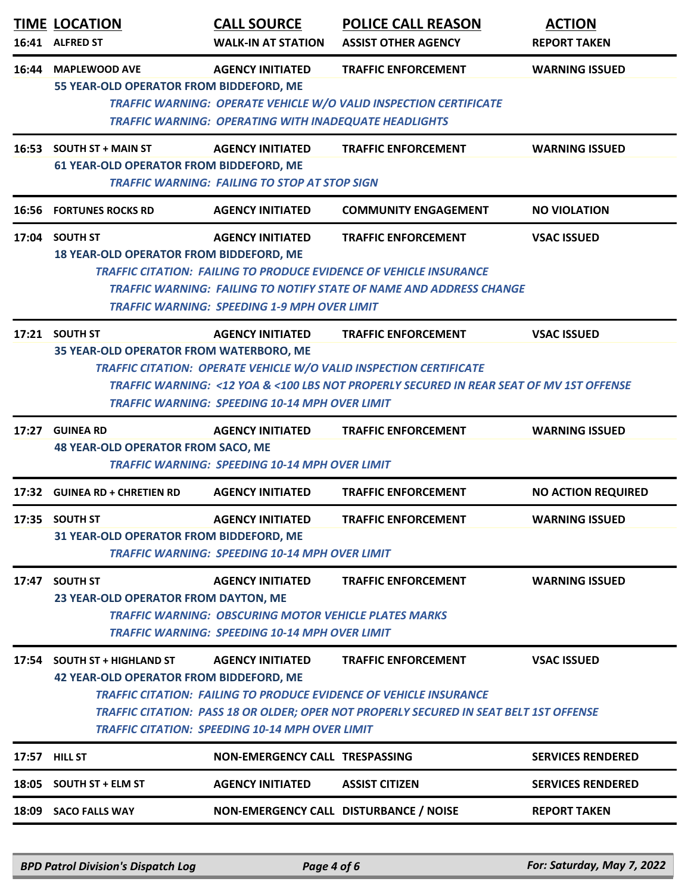|       | <b>TIME LOCATION</b><br>16:41 ALFRED ST                                                                                                                                                                                                                                                                                                                                                        | <b>CALL SOURCE</b><br><b>WALK-IN AT STATION</b>                                                                                                  | <b>POLICE CALL REASON</b><br><b>ASSIST OTHER AGENCY</b>                                                                                                                                     | <b>ACTION</b><br><b>REPORT TAKEN</b> |  |
|-------|------------------------------------------------------------------------------------------------------------------------------------------------------------------------------------------------------------------------------------------------------------------------------------------------------------------------------------------------------------------------------------------------|--------------------------------------------------------------------------------------------------------------------------------------------------|---------------------------------------------------------------------------------------------------------------------------------------------------------------------------------------------|--------------------------------------|--|
| 16:44 | <b>MAPLEWOOD AVE</b><br>55 YEAR-OLD OPERATOR FROM BIDDEFORD, ME                                                                                                                                                                                                                                                                                                                                | <b>AGENCY INITIATED</b><br><b>TRAFFIC WARNING: OPERATING WITH INADEQUATE HEADLIGHTS</b>                                                          | <b>TRAFFIC ENFORCEMENT</b><br>TRAFFIC WARNING: OPERATE VEHICLE W/O VALID INSPECTION CERTIFICATE                                                                                             | <b>WARNING ISSUED</b>                |  |
|       | 16:53 SOUTH ST + MAIN ST<br><b>61 YEAR-OLD OPERATOR FROM BIDDEFORD, ME</b>                                                                                                                                                                                                                                                                                                                     | <b>AGENCY INITIATED</b><br><b>TRAFFIC WARNING: FAILING TO STOP AT STOP SIGN</b>                                                                  | <b>TRAFFIC ENFORCEMENT</b>                                                                                                                                                                  | <b>WARNING ISSUED</b>                |  |
|       | <b>16:56 FORTUNES ROCKS RD</b>                                                                                                                                                                                                                                                                                                                                                                 | <b>AGENCY INITIATED</b>                                                                                                                          | <b>COMMUNITY ENGAGEMENT</b>                                                                                                                                                                 | <b>NO VIOLATION</b>                  |  |
|       | 17:04 SOUTH ST<br><b>18 YEAR-OLD OPERATOR FROM BIDDEFORD, ME</b>                                                                                                                                                                                                                                                                                                                               | <b>AGENCY INITIATED</b><br><b>TRAFFIC WARNING: SPEEDING 1-9 MPH OVER LIMIT</b>                                                                   | <b>TRAFFIC ENFORCEMENT</b><br><b>TRAFFIC CITATION: FAILING TO PRODUCE EVIDENCE OF VEHICLE INSURANCE</b><br><b>TRAFFIC WARNING: FAILING TO NOTIFY STATE OF NAME AND ADDRESS CHANGE</b>       | <b>VSAC ISSUED</b>                   |  |
|       | 17:21 SOUTH ST<br>35 YEAR-OLD OPERATOR FROM WATERBORO, ME                                                                                                                                                                                                                                                                                                                                      | <b>AGENCY INITIATED</b><br><b>TRAFFIC WARNING: SPEEDING 10-14 MPH OVER LIMIT</b>                                                                 | <b>TRAFFIC ENFORCEMENT</b><br>TRAFFIC CITATION: OPERATE VEHICLE W/O VALID INSPECTION CERTIFICATE<br>TRAFFIC WARNING: <12 YOA & <100 LBS NOT PROPERLY SECURED IN REAR SEAT OF MV 1ST OFFENSE | <b>VSAC ISSUED</b>                   |  |
|       | 17:27 GUINEA RD<br><b>48 YEAR-OLD OPERATOR FROM SACO, ME</b>                                                                                                                                                                                                                                                                                                                                   | <b>AGENCY INITIATED</b>                                                                                                                          | <b>TRAFFIC ENFORCEMENT</b>                                                                                                                                                                  | <b>WARNING ISSUED</b>                |  |
|       |                                                                                                                                                                                                                                                                                                                                                                                                | <b>TRAFFIC WARNING: SPEEDING 10-14 MPH OVER LIMIT</b>                                                                                            |                                                                                                                                                                                             |                                      |  |
|       | 17:32 GUINEA RD + CHRETIEN RD                                                                                                                                                                                                                                                                                                                                                                  | <b>AGENCY INITIATED</b>                                                                                                                          | <b>TRAFFIC ENFORCEMENT</b>                                                                                                                                                                  | <b>NO ACTION REQUIRED</b>            |  |
|       | 17:35 SOUTH ST<br>31 YEAR-OLD OPERATOR FROM BIDDEFORD, ME                                                                                                                                                                                                                                                                                                                                      | <b>AGENCY INITIATED</b><br><b>TRAFFIC WARNING: SPEEDING 10-14 MPH OVER LIMIT</b>                                                                 | <b>TRAFFIC ENFORCEMENT</b>                                                                                                                                                                  | <b>WARNING ISSUED</b>                |  |
|       | 17:47 SOUTH ST<br>23 YEAR-OLD OPERATOR FROM DAYTON, ME                                                                                                                                                                                                                                                                                                                                         | <b>AGENCY INITIATED</b><br><b>TRAFFIC WARNING: OBSCURING MOTOR VEHICLE PLATES MARKS</b><br><b>TRAFFIC WARNING: SPEEDING 10-14 MPH OVER LIMIT</b> | <b>TRAFFIC ENFORCEMENT</b>                                                                                                                                                                  | <b>WARNING ISSUED</b>                |  |
|       | <b>AGENCY INITIATED</b><br><b>TRAFFIC ENFORCEMENT</b><br><b>VSAC ISSUED</b><br>17:54 SOUTH ST + HIGHLAND ST<br><b>42 YEAR-OLD OPERATOR FROM BIDDEFORD, ME</b><br><b>TRAFFIC CITATION: FAILING TO PRODUCE EVIDENCE OF VEHICLE INSURANCE</b><br>TRAFFIC CITATION: PASS 18 OR OLDER; OPER NOT PROPERLY SECURED IN SEAT BELT 1ST OFFENSE<br><b>TRAFFIC CITATION: SPEEDING 10-14 MPH OVER LIMIT</b> |                                                                                                                                                  |                                                                                                                                                                                             |                                      |  |
|       | 17:57 HILL ST                                                                                                                                                                                                                                                                                                                                                                                  | NON-EMERGENCY CALL TRESPASSING                                                                                                                   |                                                                                                                                                                                             | <b>SERVICES RENDERED</b>             |  |
|       | 18:05 SOUTH ST + ELM ST                                                                                                                                                                                                                                                                                                                                                                        | <b>AGENCY INITIATED</b>                                                                                                                          | <b>ASSIST CITIZEN</b>                                                                                                                                                                       | <b>SERVICES RENDERED</b>             |  |
|       | 18:09 SACO FALLS WAY                                                                                                                                                                                                                                                                                                                                                                           |                                                                                                                                                  | NON-EMERGENCY CALL DISTURBANCE / NOISE                                                                                                                                                      | <b>REPORT TAKEN</b>                  |  |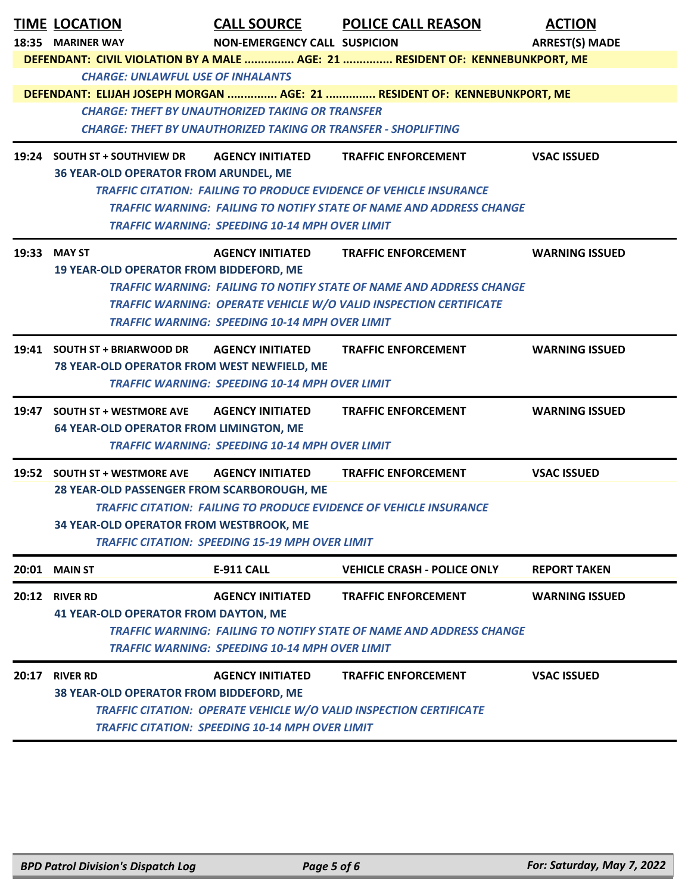| <b>TIME LOCATION</b><br>18:35 MARINER WAY                                  | NON-EMERGENCY CALL SUSPICION                                              | <b>CALL SOURCE POLICE CALL REASON</b>                                         | <b>ACTION</b><br><b>ARREST(S) MADE</b> |  |
|----------------------------------------------------------------------------|---------------------------------------------------------------------------|-------------------------------------------------------------------------------|----------------------------------------|--|
|                                                                            |                                                                           | DEFENDANT: CIVIL VIOLATION BY A MALE  AGE: 21  RESIDENT OF: KENNEBUNKPORT, ME |                                        |  |
| <b>CHARGE: UNLAWFUL USE OF INHALANTS</b>                                   |                                                                           |                                                                               |                                        |  |
|                                                                            |                                                                           | DEFENDANT: ELIJAH JOSEPH MORGAN  AGE: 21  RESIDENT OF: KENNEBUNKPORT, ME      |                                        |  |
|                                                                            | <b>CHARGE: THEFT BY UNAUTHORIZED TAKING OR TRANSFER</b>                   |                                                                               |                                        |  |
|                                                                            | <b>CHARGE: THEFT BY UNAUTHORIZED TAKING OR TRANSFER - SHOPLIFTING</b>     |                                                                               |                                        |  |
| 19:24 SOUTH ST + SOUTHVIEW DR                                              | <b>AGENCY INITIATED</b>                                                   | <b>TRAFFIC ENFORCEMENT</b>                                                    | <b>VSAC ISSUED</b>                     |  |
| <b>36 YEAR-OLD OPERATOR FROM ARUNDEL, ME</b>                               |                                                                           |                                                                               |                                        |  |
|                                                                            |                                                                           | <b>TRAFFIC CITATION: FAILING TO PRODUCE EVIDENCE OF VEHICLE INSURANCE</b>     |                                        |  |
|                                                                            |                                                                           | <b>TRAFFIC WARNING: FAILING TO NOTIFY STATE OF NAME AND ADDRESS CHANGE</b>    |                                        |  |
|                                                                            | <b>TRAFFIC WARNING: SPEEDING 10-14 MPH OVER LIMIT</b>                     |                                                                               |                                        |  |
| 19:33 MAY ST                                                               |                                                                           | AGENCY INITIATED TRAFFIC ENFORCEMENT                                          | <b>WARNING ISSUED</b>                  |  |
| <b>19 YEAR-OLD OPERATOR FROM BIDDEFORD, ME</b>                             |                                                                           |                                                                               |                                        |  |
|                                                                            |                                                                           | <b>TRAFFIC WARNING: FAILING TO NOTIFY STATE OF NAME AND ADDRESS CHANGE</b>    |                                        |  |
|                                                                            | <b>TRAFFIC WARNING: SPEEDING 10-14 MPH OVER LIMIT</b>                     | <b>TRAFFIC WARNING: OPERATE VEHICLE W/O VALID INSPECTION CERTIFICATE</b>      |                                        |  |
|                                                                            |                                                                           |                                                                               |                                        |  |
| 19:41 SOUTH ST + BRIARWOOD DR AGENCY INITIATED                             |                                                                           | <b>TRAFFIC ENFORCEMENT</b>                                                    | <b>WARNING ISSUED</b>                  |  |
| 78 YEAR-OLD OPERATOR FROM WEST NEWFIELD, ME                                |                                                                           |                                                                               |                                        |  |
|                                                                            | <b>TRAFFIC WARNING: SPEEDING 10-14 MPH OVER LIMIT</b>                     |                                                                               |                                        |  |
| 19:47 SOUTH ST + WESTMORE AVE                                              | <b>AGENCY INITIATED</b>                                                   | <b>TRAFFIC ENFORCEMENT</b>                                                    | <b>WARNING ISSUED</b>                  |  |
| <b>64 YEAR-OLD OPERATOR FROM LIMINGTON, ME</b>                             |                                                                           |                                                                               |                                        |  |
|                                                                            | <b>TRAFFIC WARNING: SPEEDING 10-14 MPH OVER LIMIT</b>                     |                                                                               |                                        |  |
| 19:52 SOUTH ST + WESTMORE AVE AGENCY INITIATED                             |                                                                           | <b>TRAFFIC ENFORCEMENT</b>                                                    | <b>VSAC ISSUED</b>                     |  |
| 28 YEAR-OLD PASSENGER FROM SCARBOROUGH, ME                                 |                                                                           |                                                                               |                                        |  |
|                                                                            | <b>TRAFFIC CITATION: FAILING TO PRODUCE EVIDENCE OF VEHICLE INSURANCE</b> |                                                                               |                                        |  |
| 34 YEAR-OLD OPERATOR FROM WESTBROOK, ME                                    |                                                                           |                                                                               |                                        |  |
| <b>TRAFFIC CITATION: SPEEDING 15-19 MPH OVER LIMIT</b>                     |                                                                           |                                                                               |                                        |  |
| <b>20:01 MAIN ST</b>                                                       | <b>E-911 CALL</b>                                                         | <b>VEHICLE CRASH - POLICE ONLY</b>                                            | <b>REPORT TAKEN</b>                    |  |
| 20:12 RIVER RD                                                             | <b>AGENCY INITIATED</b>                                                   | <b>TRAFFIC ENFORCEMENT</b>                                                    | <b>WARNING ISSUED</b>                  |  |
| <b>41 YEAR-OLD OPERATOR FROM DAYTON, ME</b>                                |                                                                           |                                                                               |                                        |  |
| <b>TRAFFIC WARNING: FAILING TO NOTIFY STATE OF NAME AND ADDRESS CHANGE</b> |                                                                           |                                                                               |                                        |  |
| <b>TRAFFIC WARNING: SPEEDING 10-14 MPH OVER LIMIT</b>                      |                                                                           |                                                                               |                                        |  |
| 20:17 RIVER RD                                                             | <b>AGENCY INITIATED</b>                                                   | <b>TRAFFIC ENFORCEMENT</b>                                                    | <b>VSAC ISSUED</b>                     |  |
| 38 YEAR-OLD OPERATOR FROM BIDDEFORD, ME                                    |                                                                           |                                                                               |                                        |  |
| <b>TRAFFIC CITATION: OPERATE VEHICLE W/O VALID INSPECTION CERTIFICATE</b>  |                                                                           |                                                                               |                                        |  |
|                                                                            | <b>TRAFFIC CITATION: SPEEDING 10-14 MPH OVER LIMIT</b>                    |                                                                               |                                        |  |